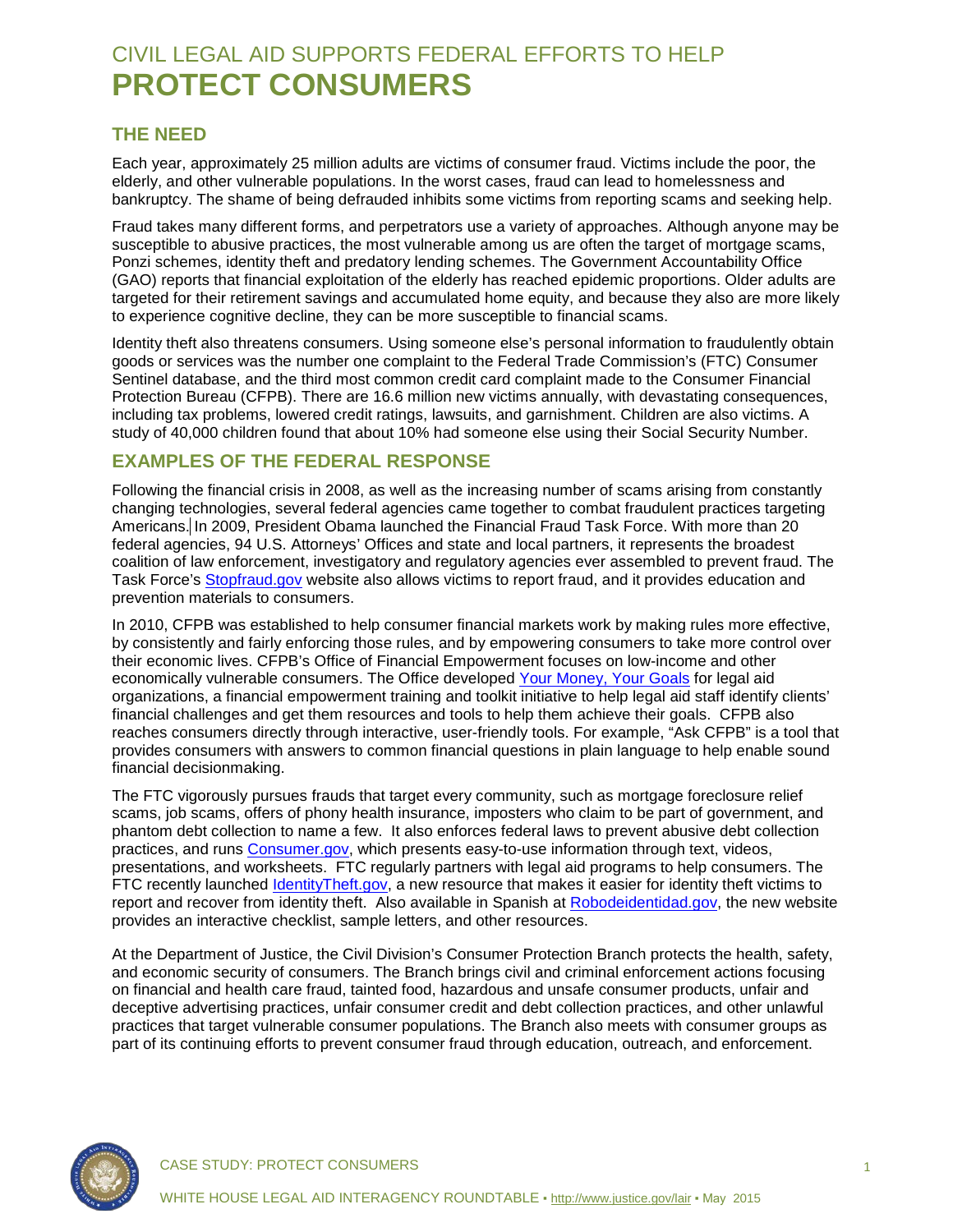# CIVIL LEGAL AID SUPPORTS FEDERAL EFFORTS TO HELP **PROTECT CONSUMERS**

### **THE NEED**

Each year, approximately 25 million adults are victims of consumer fraud. Victims include the poor, the elderly, and other vulnerable populations. In the worst cases, fraud can lead to homelessness and bankruptcy. The shame of being defrauded inhibits some victims from reporting scams and seeking help.

Fraud takes many different forms, and perpetrators use a variety of approaches. Although anyone may be susceptible to abusive practices, the most vulnerable among us are often the target of mortgage scams, Ponzi schemes, identity theft and predatory lending schemes. The Government Accountability Office (GAO) reports that financial exploitation of the elderly has reached epidemic proportions. Older adults are targeted for their retirement savings and accumulated home equity, and because they also are more likely to experience cognitive decline, they can be more susceptible to financial scams.

Identity theft also threatens consumers. Using someone else's personal information to fraudulently obtain goods or services was the number one complaint to the Federal Trade Commission's (FTC) Consumer Sentinel database, and the third most common credit card complaint made to the Consumer Financial Protection Bureau (CFPB). There are 16.6 million new victims annually, with devastating consequences, including tax problems, lowered credit ratings, lawsuits, and garnishment. Children are also victims. A study of 40,000 children found that about 10% had someone else using their Social Security Number.

### **EXAMPLES OF THE FEDERAL RESPONSE**

Following the financial crisis in 2008, as well as the increasing number of scams arising from constantly changing technologies, several federal agencies came together to combat fraudulent practices targeting Americans. In 2009, President Obama launched the Financial Fraud Task Force. With more than 20 federal agencies, 94 U.S. Attorneys' Offices and state and local partners, it represents the broadest coalition of law enforcement, investigatory and regulatory agencies ever assembled to prevent fraud. The Task Force's [Stopfraud.gov](http://www.stopfraud.gov/) website also allows victims to report fraud, and it provides education and prevention materials to consumers.

In 2010, CFPB was established to help consumer financial markets work by making rules more effective, by consistently and fairly enforcing those rules, and by empowering consumers to take more control over their economic lives. CFPB's Office of Financial Empowerment focuses on low-income and other economically vulnerable consumers. The Office developed [Your Money, Your Goals](http://www.consumerfinance.gov/your-money-your-goals) for legal aid organizations, a financial empowerment training and toolkit initiative to help legal aid staff identify clients' financial challenges and get them resources and tools to help them achieve their goals. CFPB also reaches consumers directly through interactive, user-friendly tools. For example, "Ask CFPB" is a tool that provides consumers with answers to common financial questions in plain language to help enable sound financial decisionmaking.

The FTC vigorously pursues frauds that target every community, such as mortgage foreclosure relief scams, job scams, offers of phony health insurance, imposters who claim to be part of government, and phantom debt collection to name a few. It also enforces federal laws to prevent abusive debt collection practices, and runs [Consumer.gov,](http://consumer.gov/) which presents easy-to-use information through text, videos, presentations, and worksheets. FTC regularly partners with legal aid programs to help consumers. The FTC recently launched [IdentityTheft.gov,](http://www.identitytheft.gov/) a new resource that makes it easier for identity theft victims to report and recover from identity theft. Also available in Spanish at [Robodeidentidad.gov,](http://www.robodeidentidad.gov/) the new website provides an interactive checklist, sample letters, and other resources.

At the Department of Justice, the Civil Division's Consumer Protection Branch protects the health, safety, and economic security of consumers. The Branch brings civil and criminal enforcement actions focusing on financial and health care fraud, tainted food, hazardous and unsafe consumer products, unfair and deceptive advertising practices, unfair consumer credit and debt collection practices, and other unlawful practices that target vulnerable consumer populations. The Branch also meets with consumer groups as part of its continuing efforts to prevent consumer fraud through education, outreach, and enforcement.